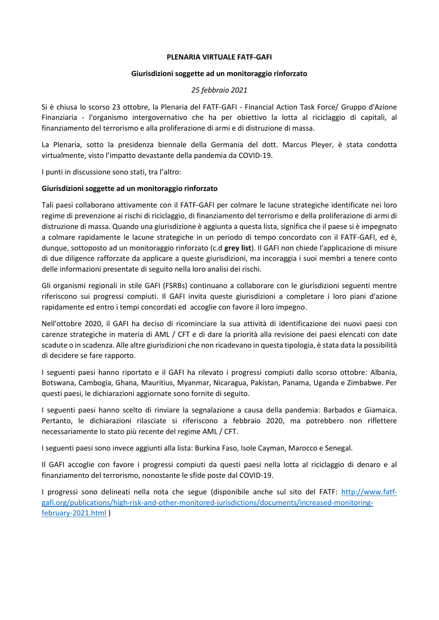## **PLENARIA VIRTUALE FATF-GAFI**

# **Giurisdizioni soggette ad un monitoraggio rinforzato**

# *25 febbraio 2021*

Si è chiusa lo scorso 23 ottobre, la Plenaria del FATF-GAFI - Financial Action Task Force/ Gruppo d'Azione Finanziaria - l'organismo intergovernativo che ha per obiettivo la lotta al riciclaggio di capitali, al finanziamento del terrorismo e alla proliferazione di armi e di distruzione di massa.

La Plenaria, sotto la presidenza biennale della Germania del dott. Marcus Pleyer, è stata condotta virtualmente, visto l'impatto devastante della pandemia da COVID-19.

I punti in discussione sono stati, tra l'altro:

# **Giurisdizioni soggette ad un monitoraggio rinforzato**

Tali paesi collaborano attivamente con il FATF-GAFI per colmare le lacune strategiche identificate nei loro regime di prevenzione ai rischi di riciclaggio, di finanziamento del terrorismo e della proliferazione di armi di distruzione di massa. Quando una giurisdizione è aggiunta a questa lista, significa che il paese si è impegnato a colmare rapidamente le lacune strategiche in un periodo di tempo concordato con il FATF-GAFI, ed è, dunque, sottoposto ad un monitoraggio rinforzato (c.d **grey list**). Il GAFI non chiede l'applicazione di misure di due diligence rafforzate da applicare a queste giurisdizioni, ma incoraggia i suoi membri a tenere conto delle informazioni presentate di seguito nella loro analisi dei rischi.

Gli organismi regionali in stile GAFI (FSRBs) continuano a collaborare con le giurisdizioni seguenti mentre riferiscono sui progressi compiuti. Il GAFI invita queste giurisdizioni a completare i loro piani d'azione rapidamente ed entro i tempi concordati ed accoglie con favore il loro impegno.

Nell'ottobre 2020, il GAFI ha deciso di ricominciare la sua attività di identificazione dei nuovi paesi con carenze strategiche in materia di AML / CFT e di dare la priorità alla revisione dei paesi elencati con date scadute o in scadenza. Alle altre giurisdizioni che non ricadevano in questa tipologia, è stata data la possibilità di decidere se fare rapporto.

I seguenti paesi hanno riportato e il GAFI ha rilevato i progressi compiuti dallo scorso ottobre: Albania, Botswana, Cambogia, Ghana, Mauritius, Myanmar, Nicaragua, Pakistan, Panama, Uganda e Zimbabwe. Per questi paesi, le dichiarazioni aggiornate sono fornite di seguito.

I seguenti paesi hanno scelto di rinviare la segnalazione a causa della pandemia: Barbados e Giamaica. Pertanto, le dichiarazioni rilasciate si riferiscono a febbraio 2020, ma potrebbero non riflettere necessariamente lo stato più recente del regime AML / CFT.

I seguenti paesi sono invece aggiunti alla lista: Burkina Faso, Isole Cayman, Marocco e Senegal.

Il GAFI accoglie con favore i progressi compiuti da questi paesi nella lotta al riciclaggio di denaro e al finanziamento del terrorismo, nonostante le sfide poste dal COVID-19.

I progressi sono delineati nella nota che segue (disponibile anche sul sito del FATF: [http://www.fatf](http://www.fatf-gafi.org/publications/high-risk-and-other-monitored-jurisdictions/documents/increased-monitoring-february-2021.html)[gafi.org/publications/high-risk-and-other-monitored-jurisdictions/documents/increased-monitoring](http://www.fatf-gafi.org/publications/high-risk-and-other-monitored-jurisdictions/documents/increased-monitoring-february-2021.html)[february-2021.html](http://www.fatf-gafi.org/publications/high-risk-and-other-monitored-jurisdictions/documents/increased-monitoring-february-2021.html) )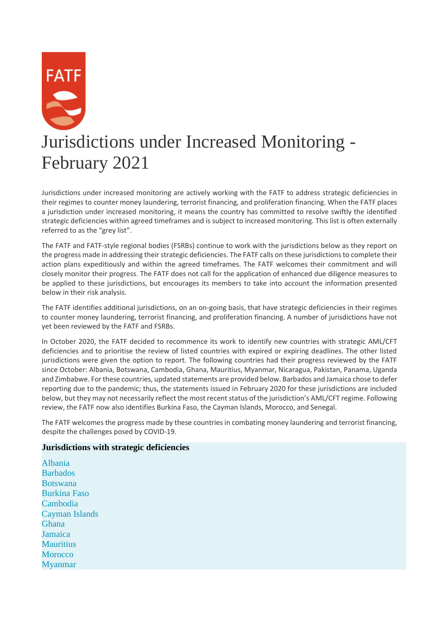

Jurisdictions under increased monitoring are actively working with the FATF to address strategic deficiencies in their regimes to counter money laundering, terrorist financing, and proliferation financing. When the FATF places a jurisdiction under increased monitoring, it means the country has committed to resolve swiftly the identified strategic deficiencies within agreed timeframes and is subject to increased monitoring. This list is often externally referred to as the "grey list".

The FATF and FATF-style regional bodies (FSRBs) continue to work with the jurisdictions below as they report on the progress made in addressing their strategic deficiencies. The FATF calls on these jurisdictions to complete their action plans expeditiously and within the agreed timeframes. The FATF welcomes their commitment and will closely monitor their progress. The FATF does not call for the application of enhanced due diligence measures to be applied to these jurisdictions, but encourages its members to take into account the information presented below in their risk analysis.

The FATF identifies additional jurisdictions, on an on-going basis, that have strategic deficiencies in their regimes to counter money laundering, terrorist financing, and proliferation financing. A number of jurisdictions have not yet been reviewed by the FATF and FSRBs.

In October 2020, the FATF decided to recommence its work to identify new countries with strategic AML/CFT deficiencies and to prioritise the review of listed countries with expired or expiring deadlines. The other listed jurisdictions were given the option to report. The following countries had their progress reviewed by the FATF since October: Albania, Botswana, Cambodia, Ghana, Mauritius, Myanmar, Nicaragua, Pakistan, Panama, Uganda and Zimbabwe. For these countries, updated statements are provided below. Barbados and Jamaica chose to defer reporting due to the pandemic; thus, the statements issued in February 2020 for these jurisdictions are included below, but they may not necessarily reflect the most recent status of the jurisdiction's AML/CFT regime. Following review, the FATF now also identifies Burkina Faso, the Cayman Islands, Morocco, and Senegal.

The FATF welcomes the progress made by these countries in combating money laundering and terrorist financing, despite the challenges posed by COVID-19.

# **Jurisdictions with strategic deficiencies**

[Albania](http://www.fatf-gafi.org/publications/high-risk-and-other-monitored-jurisdictions/documents/increased-monitoring-february-2021.html#albania) **[Barbados](http://www.fatf-gafi.org/publications/high-risk-and-other-monitored-jurisdictions/documents/increased-monitoring-february-2021.html#barbados)** [Botswana](http://www.fatf-gafi.org/publications/high-risk-and-other-monitored-jurisdictions/documents/increased-monitoring-february-2021.html#botswana) [Burkina Faso](http://www.fatf-gafi.org/publications/high-risk-and-other-monitored-jurisdictions/documents/increased-monitoring-february-2021.html#burkinafaso) [Cambodia](http://www.fatf-gafi.org/publications/high-risk-and-other-monitored-jurisdictions/documents/increased-monitoring-february-2021.html#cambodia) [Cayman Islands](http://www.fatf-gafi.org/publications/high-risk-and-other-monitored-jurisdictions/documents/increased-monitoring-february-2021.html#caymanislands) [Ghana](http://www.fatf-gafi.org/publications/high-risk-and-other-monitored-jurisdictions/documents/increased-monitoring-february-2021.html#ghana) [Jamaica](http://www.fatf-gafi.org/publications/high-risk-and-other-monitored-jurisdictions/documents/increased-monitoring-february-2021.html#jamaica) **[Mauritius](http://www.fatf-gafi.org/publications/high-risk-and-other-monitored-jurisdictions/documents/increased-monitoring-february-2021.html#mauritius) [Morocco](http://www.fatf-gafi.org/publications/high-risk-and-other-monitored-jurisdictions/documents/increased-monitoring-february-2021.html#morocco)** [Myanmar](http://www.fatf-gafi.org/publications/high-risk-and-other-monitored-jurisdictions/documents/increased-monitoring-february-2021.html#myanmar)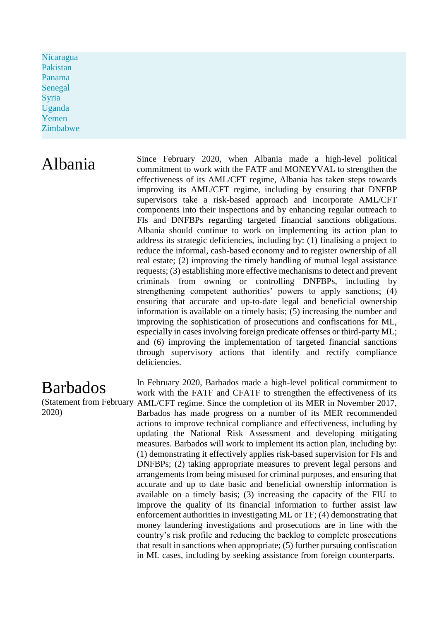[Nicaragua](http://www.fatf-gafi.org/publications/high-risk-and-other-monitored-jurisdictions/documents/increased-monitoring-february-2021.html#nicaragua) [Pakistan](http://www.fatf-gafi.org/publications/high-risk-and-other-monitored-jurisdictions/documents/increased-monitoring-february-2021.html#pakistan) [Panama](http://www.fatf-gafi.org/publications/high-risk-and-other-monitored-jurisdictions/documents/increased-monitoring-february-2021.html#panama) [Senegal](http://www.fatf-gafi.org/publications/high-risk-and-other-monitored-jurisdictions/documents/increased-monitoring-february-2021.html#senegal) [Syria](http://www.fatf-gafi.org/publications/high-risk-and-other-monitored-jurisdictions/documents/increased-monitoring-february-2021.html#syria) [Uganda](http://www.fatf-gafi.org/publications/high-risk-and-other-monitored-jurisdictions/documents/increased-monitoring-february-2021.html#uganda) [Yemen](http://www.fatf-gafi.org/publications/high-risk-and-other-monitored-jurisdictions/documents/increased-monitoring-february-2021.html#yemen) [Zimbabwe](http://www.fatf-gafi.org/publications/high-risk-and-other-monitored-jurisdictions/documents/increased-monitoring-february-2021.html#zimbabwe)

Albania Since February 2020, when Albania made a high-level political<br>commitment to work with the EATE and MONEXVAL to strengthen the commitment to work with the FATF and MONEYVAL to strengthen the effectiveness of its AML/CFT regime, Albania has taken steps towards improving its AML/CFT regime, including by ensuring that DNFBP supervisors take a risk-based approach and incorporate AML/CFT components into their inspections and by enhancing regular outreach to FIs and DNFBPs regarding targeted financial sanctions obligations. Albania should continue to work on implementing its action plan to address its strategic deficiencies, including by: (1) finalising a project to reduce the informal, cash-based economy and to register ownership of all real estate; (2) improving the timely handling of mutual legal assistance requests; (3) establishing more effective mechanisms to detect and prevent criminals from owning or controlling DNFBPs, including by strengthening competent authorities' powers to apply sanctions; (4) ensuring that accurate and up-to-date legal and beneficial ownership information is available on a timely basis; (5) increasing the number and improving the sophistication of prosecutions and confiscations for ML, especially in cases involving foreign predicate offenses or third-party ML; and (6) improving the implementation of targeted financial sanctions through supervisory actions that identify and rectify compliance deficiencies.

# (Statement from February AML/CFT regime. Since the completion of its MER in November 2017, In February 2020, Barbados made a high-level political commitment to work with the FATF and CFATF to strengthen the effectiveness of its Barbados has made progress on a number of its MER recommended actions to improve technical compliance and effectiveness, including by updating the National Risk Assessment and developing mitigating measures. Barbados will work to implement its action plan, including by: (1) demonstrating it effectively applies risk-based supervision for FIs and DNFBPs; (2) taking appropriate measures to prevent legal persons and arrangements from being misused for criminal purposes, and ensuring that accurate and up to date basic and beneficial ownership information is available on a timely basis; (3) increasing the capacity of the FIU to improve the quality of its financial information to further assist law enforcement authorities in investigating ML or TF; (4) demonstrating that money laundering investigations and prosecutions are in line with the country's risk profile and reducing the backlog to complete prosecutions that result in sanctions when appropriate; (5) further pursuing confiscation in ML cases, including by seeking assistance from foreign counterparts.

# Barbados

2020)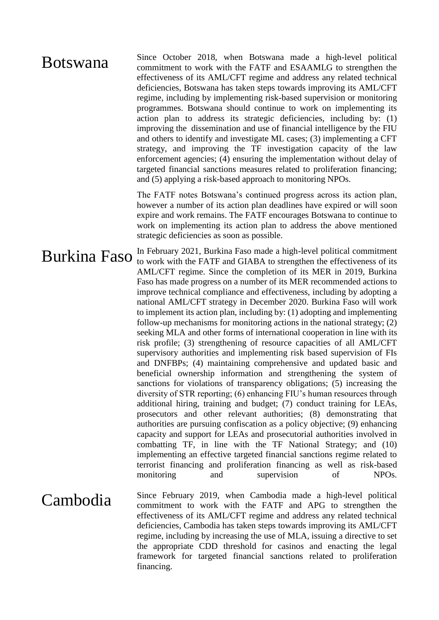# **Botswana** Since October 2018, when Botswana made a high-level political commitment to work with the FATF and ESAAMLG to strengthen the effectiveness of its AML/CFT regime and address any related technical deficiencies, Botswana has taken steps towards improving its AML/CFT regime, including by implementing risk-based supervision or monitoring programmes. Botswana should continue to work on implementing its action plan to address its strategic deficiencies, including by: (1) improving the dissemination and use of financial intelligence by the FIU and others to identify and investigate ML cases; (3) implementing a CFT strategy, and improving the TF investigation capacity of the law enforcement agencies; (4) ensuring the implementation without delay of targeted financial sanctions measures related to proliferation financing; and (5) applying a risk-based approach to monitoring NPOs.

The FATF notes Botswana's continued progress across its action plan, however a number of its action plan deadlines have expired or will soon expire and work remains. The FATF encourages Botswana to continue to work on implementing its action plan to address the above mentioned strategic deficiencies as soon as possible.

**Burkina Faso** In February 2021, Burkina Faso made a high-level political commitment to the effectiveness of its AML/CFT regime. Since the completion of its MER in 2019, Burkina Faso has made progress on a number of its MER recommended actions to improve technical compliance and effectiveness, including by adopting a national AML/CFT strategy in December 2020. Burkina Faso will work to implement its action plan, including by: (1) adopting and implementing follow-up mechanisms for monitoring actions in the national strategy; (2) seeking MLA and other forms of international cooperation in line with its risk profile; (3) strengthening of resource capacities of all AML/CFT supervisory authorities and implementing risk based supervision of FIs and DNFBPs; (4) maintaining comprehensive and updated basic and beneficial ownership information and strengthening the system of sanctions for violations of transparency obligations; (5) increasing the diversity of STR reporting; (6) enhancing FIU's human resources through additional hiring, training and budget; (7) conduct training for LEAs, prosecutors and other relevant authorities; (8) demonstrating that authorities are pursuing confiscation as a policy objective; (9) enhancing capacity and support for LEAs and prosecutorial authorities involved in combatting TF, in line with the TF National Strategy; and (10) implementing an effective targeted financial sanctions regime related to terrorist financing and proliferation financing as well as risk-based monitoring and supervision of NPOs.

Cambodia Since February 2019, when Cambodia made a high-level political commitment to work with the FATF and APG to strengthen the effectiveness of its AML/CFT regime and address any related technical deficiencies, Cambodia has taken steps towards improving its AML/CFT regime, including by increasing the use of MLA, issuing a directive to set the appropriate CDD threshold for casinos and enacting the legal framework for targeted financial sanctions related to proliferation financing.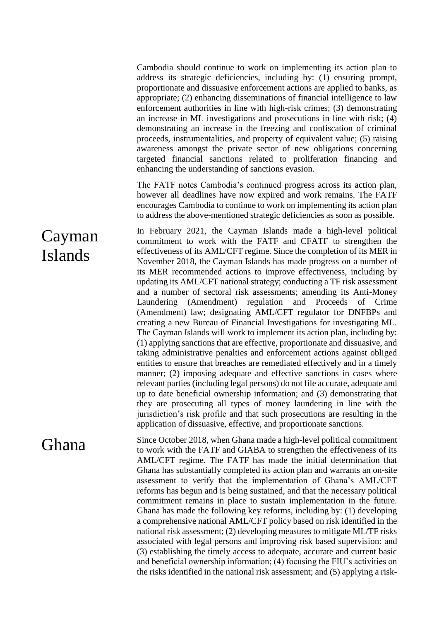Cambodia should continue to work on implementing its action plan to address its strategic deficiencies, including by: (1) ensuring prompt, proportionate and dissuasive enforcement actions are applied to banks, as appropriate; (2) enhancing disseminations of financial intelligence to law enforcement authorities in line with high-risk crimes; (3) demonstrating an increase in ML investigations and prosecutions in line with risk; (4) demonstrating an increase in the freezing and confiscation of criminal proceeds, instrumentalities, and property of equivalent value; (5) raising awareness amongst the private sector of new obligations concerning targeted financial sanctions related to proliferation financing and enhancing the understanding of sanctions evasion.

The FATF notes Cambodia's continued progress across its action plan, however all deadlines have now expired and work remains. The FATF encourages Cambodia to continue to work on implementing its action plan to address the above-mentioned strategic deficiencies as soon as possible.

Cayman Islands In February 2021, the Cayman Islands made a high-level political commitment to work with the FATF and CFATF to strengthen the effectiveness of its AML/CFT regime. Since the completion of its MER in November 2018, the Cayman Islands has made progress on a number of its MER recommended actions to improve effectiveness, including by updating its AML/CFT national strategy; conducting a TF risk assessment and a number of sectoral risk assessments; amending its Anti-Money Laundering (Amendment) regulation and Proceeds of Crime (Amendment) law; designating AML/CFT regulator for DNFBPs and creating a new Bureau of Financial Investigations for investigating ML. The Cayman Islands will work to implement its action plan, including by: (1) applying sanctions that are effective, proportionate and dissuasive, and taking administrative penalties and enforcement actions against obliged entities to ensure that breaches are remediated effectively and in a timely manner; (2) imposing adequate and effective sanctions in cases where relevant parties (including legal persons) do not file accurate, adequate and up to date beneficial ownership information; and (3) demonstrating that they are prosecuting all types of money laundering in line with the jurisdiction's risk profile and that such prosecutions are resulting in the application of dissuasive, effective, and proportionate sanctions.

Ghana Since October 2018, when Ghana made a high-level political commitment to work with the FATF and GIABA to strengthen the effectiveness of its AML/CFT regime. The FATF has made the initial determination that Ghana has substantially completed its action plan and warrants an on-site assessment to verify that the implementation of Ghana's AML/CFT reforms has begun and is being sustained, and that the necessary political commitment remains in place to sustain implementation in the future. Ghana has made the following key reforms, including by: (1) developing a comprehensive national AML/CFT policy based on risk identified in the national risk assessment; (2) developing measures to mitigate ML/TF risks associated with legal persons and improving risk based supervision: and (3) establishing the timely access to adequate, accurate and current basic and beneficial ownership information; (4) focusing the FIU's activities on the risks identified in the national risk assessment; and (5) applying a risk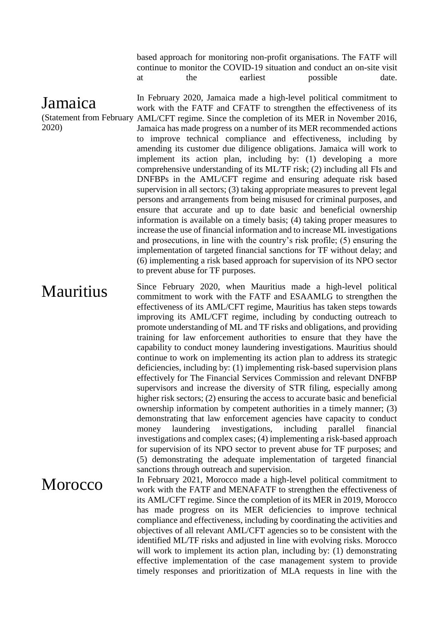based approach for monitoring non-profit organisations. The FATF will continue to monitor the COVID-19 situation and conduct an on-site visit at the earliest possible date.

# Jamaica

2020)

(Statement from February AML/CFT regime. Since the completion of its MER in November 2016, In February 2020, Jamaica made a high-level political commitment to work with the FATF and CFATF to strengthen the effectiveness of its Jamaica has made progress on a number of its MER recommended actions to improve technical compliance and effectiveness, including by amending its customer due diligence obligations. Jamaica will work to implement its action plan, including by: (1) developing a more comprehensive understanding of its ML/TF risk; (2) including all FIs and DNFBPs in the AML/CFT regime and ensuring adequate risk based supervision in all sectors; (3) taking appropriate measures to prevent legal persons and arrangements from being misused for criminal purposes, and ensure that accurate and up to date basic and beneficial ownership information is available on a timely basis; (4) taking proper measures to increase the use of financial information and to increase ML investigations and prosecutions, in line with the country's risk profile; (5) ensuring the implementation of targeted financial sanctions for TF without delay; and (6) implementing a risk based approach for supervision of its NPO sector to prevent abuse for TF purposes.

Mauritius Since February 2020, when Mauritius made a high-level political commitment to work with the FATF and ESAAMLG to strengthen the effectiveness of its AML/CFT regime, Mauritius has taken steps towards improving its AML/CFT regime, including by conducting outreach to promote understanding of ML and TF risks and obligations, and providing training for law enforcement authorities to ensure that they have the capability to conduct money laundering investigations. Mauritius should continue to work on implementing its action plan to address its strategic deficiencies, including by: (1) implementing risk-based supervision plans effectively for The Financial Services Commission and relevant DNFBP supervisors and increase the diversity of STR filing, especially among higher risk sectors; (2) ensuring the access to accurate basic and beneficial ownership information by competent authorities in a timely manner; (3) demonstrating that law enforcement agencies have capacity to conduct money laundering investigations, including parallel financial investigations and complex cases; (4) implementing a risk-based approach for supervision of its NPO sector to prevent abuse for TF purposes; and (5) demonstrating the adequate implementation of targeted financial sanctions through outreach and supervision.

MOTOCCO<br>In February 2021, Morocco made a high-level political commitment to<br>the offectiveness of work with the FATF and MENAFATF to strengthen the effectiveness of its AML/CFT regime. Since the completion of its MER in 2019, Morocco has made progress on its MER deficiencies to improve technical compliance and effectiveness, including by coordinating the activities and objectives of all relevant AML/CFT agencies so to be consistent with the identified ML/TF risks and adjusted in line with evolving risks. Morocco will work to implement its action plan, including by: (1) demonstrating effective implementation of the case management system to provide timely responses and prioritization of MLA requests in line with the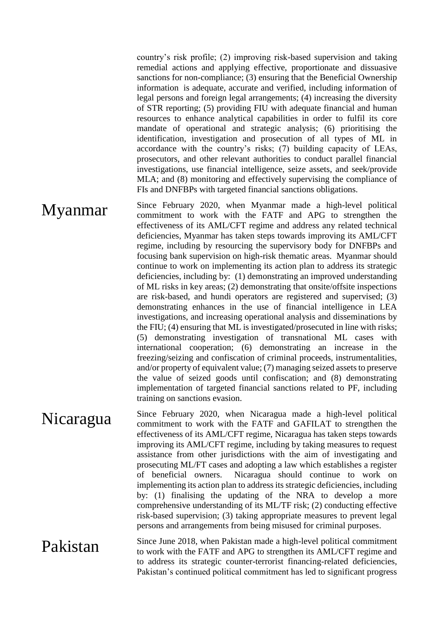country's risk profile; (2) improving risk-based supervision and taking remedial actions and applying effective, proportionate and dissuasive sanctions for non-compliance; (3) ensuring that the Beneficial Ownership information is adequate, accurate and verified, including information of legal persons and foreign legal arrangements; (4) increasing the diversity of STR reporting; (5) providing FIU with adequate financial and human resources to enhance analytical capabilities in order to fulfil its core mandate of operational and strategic analysis; (6) prioritising the identification, investigation and prosecution of all types of ML in accordance with the country's risks; (7) building capacity of LEAs, prosecutors, and other relevant authorities to conduct parallel financial investigations, use financial intelligence, seize assets, and seek/provide MLA; and (8) monitoring and effectively supervising the compliance of FIs and DNFBPs with targeted financial sanctions obligations.

**Myanmar** Since February 2020, when Myanmar made a high-level political<br>commitment to work with the FATF and APG to strengthen the commitment to work with the FATF and APG to strengthen the effectiveness of its AML/CFT regime and address any related technical deficiencies, Myanmar has taken steps towards improving its AML/CFT regime, including by resourcing the supervisory body for DNFBPs and focusing bank supervision on high-risk thematic areas. Myanmar should continue to work on implementing its action plan to address its strategic deficiencies, including by: (1) demonstrating an improved understanding of ML risks in key areas; (2) demonstrating that onsite/offsite inspections are risk-based, and hundi operators are registered and supervised; (3) demonstrating enhances in the use of financial intelligence in LEA investigations, and increasing operational analysis and disseminations by the FIU; (4) ensuring that ML is investigated/prosecuted in line with risks; (5) demonstrating investigation of transnational ML cases with international cooperation; (6) demonstrating an increase in the freezing/seizing and confiscation of criminal proceeds, instrumentalities, and/or property of equivalent value; (7) managing seized assets to preserve the value of seized goods until confiscation; and (8) demonstrating implementation of targeted financial sanctions related to PF, including training on sanctions evasion.

Nicaragua Since February 2020, when Nicaragua made a high-level political<br>commitment to work with the FATF and GAFILAT to strengthen the commitment to work with the FATF and GAFILAT to strengthen the effectiveness of its AML/CFT regime, Nicaragua has taken steps towards improving its AML/CFT regime, including by taking measures to request assistance from other jurisdictions with the aim of investigating and prosecuting ML/FT cases and adopting a law which establishes a register of beneficial owners. Nicaragua should continue to work on implementing its action plan to address its strategic deficiencies, including by: (1) finalising the updating of the NRA to develop a more comprehensive understanding of its ML/TF risk; (2) conducting effective risk-based supervision; (3) taking appropriate measures to prevent legal persons and arrangements from being misused for criminal purposes.

**Pakistan** Since June 2018, when Pakistan made a high-level political commitment to work with the FATF and APG to strengthen its AML/CFT regime and to address its strategic counter-terrorist financing-related deficiencies, Pakistan's continued political commitment has led to significant progress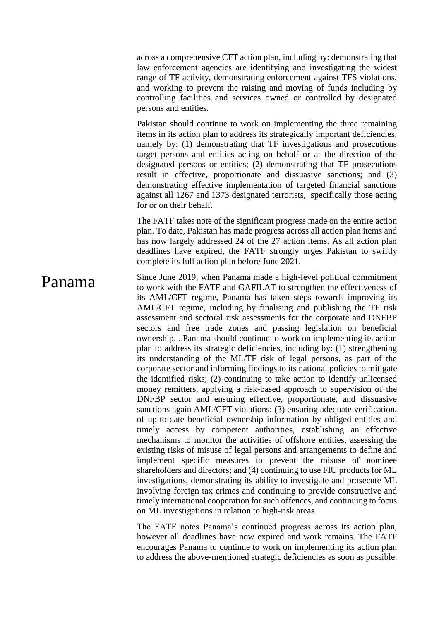across a comprehensive CFT action plan, including by: demonstrating that law enforcement agencies are identifying and investigating the widest range of TF activity, demonstrating enforcement against TFS violations, and working to prevent the raising and moving of funds including by controlling facilities and services owned or controlled by designated persons and entities.

Pakistan should continue to work on implementing the three remaining items in its action plan to address its strategically important deficiencies, namely by: (1) demonstrating that TF investigations and prosecutions target persons and entities acting on behalf or at the direction of the designated persons or entities; (2) demonstrating that TF prosecutions result in effective, proportionate and dissuasive sanctions; and (3) demonstrating effective implementation of targeted financial sanctions against all 1267 and 1373 designated terrorists, specifically those acting for or on their behalf.

The FATF takes note of the significant progress made on the entire action plan. To date, Pakistan has made progress across all action plan items and has now largely addressed 24 of the 27 action items. As all action plan deadlines have expired, the FATF strongly urges Pakistan to swiftly complete its full action plan before June 2021.

**Panama** Since June 2019, when Panama made a high-level political commitment to work with the FATF and GAFILAT to strengthen the effectiveness of its AML/CFT regime, Panama has taken steps towards improving its AML/CFT regime, including by finalising and publishing the TF risk assessment and sectoral risk assessments for the corporate and DNFBP sectors and free trade zones and passing legislation on beneficial ownership. . Panama should continue to work on implementing its action plan to address its strategic deficiencies, including by: (1) strengthening its understanding of the ML/TF risk of legal persons, as part of the corporate sector and informing findings to its national policies to mitigate the identified risks; (2) continuing to take action to identify unlicensed money remitters, applying a risk-based approach to supervision of the DNFBP sector and ensuring effective, proportionate, and dissuasive sanctions again AML/CFT violations; (3) ensuring adequate verification, of up-to-date beneficial ownership information by obliged entities and timely access by competent authorities, establishing an effective mechanisms to monitor the activities of offshore entities, assessing the existing risks of misuse of legal persons and arrangements to define and implement specific measures to prevent the misuse of nominee shareholders and directors; and (4) continuing to use FIU products for ML investigations, demonstrating its ability to investigate and prosecute ML involving foreign tax crimes and continuing to provide constructive and timely international cooperation for such offences, and continuing to focus on ML investigations in relation to high-risk areas.

> The FATF notes Panama's continued progress across its action plan, however all deadlines have now expired and work remains. The FATF encourages Panama to continue to work on implementing its action plan to address the above-mentioned strategic deficiencies as soon as possible.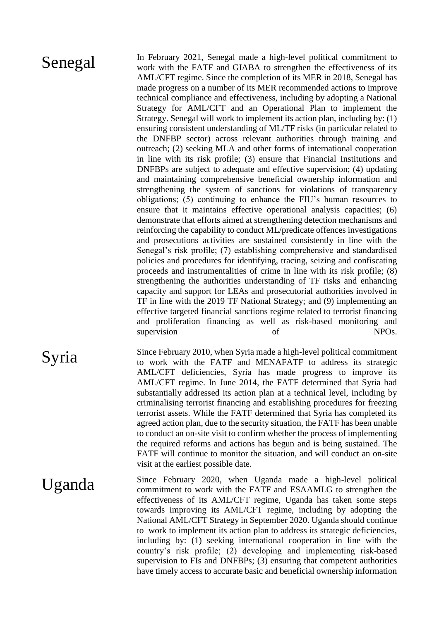Senegal In February 2021, Senegal made a high-level political commitment to work with the FATF and GIABA to strengthen the effectiveness of its AML/CFT regime. Since the completion of its MER in 2018, Senegal has made progress on a number of its MER recommended actions to improve technical compliance and effectiveness, including by adopting a National Strategy for AML/CFT and an Operational Plan to implement the Strategy. Senegal will work to implement its action plan, including by: (1) ensuring consistent understanding of ML/TF risks (in particular related to the DNFBP sector) across relevant authorities through training and outreach; (2) seeking MLA and other forms of international cooperation in line with its risk profile; (3) ensure that Financial Institutions and DNFBPs are subject to adequate and effective supervision; (4) updating and maintaining comprehensive beneficial ownership information and strengthening the system of sanctions for violations of transparency obligations; (5) continuing to enhance the FIU's human resources to ensure that it maintains effective operational analysis capacities; (6) demonstrate that efforts aimed at strengthening detection mechanisms and reinforcing the capability to conduct ML/predicate offences investigations and prosecutions activities are sustained consistently in line with the Senegal's risk profile; (7) establishing comprehensive and standardised policies and procedures for identifying, tracing, seizing and confiscating proceeds and instrumentalities of crime in line with its risk profile; (8) strengthening the authorities understanding of TF risks and enhancing capacity and support for LEAs and prosecutorial authorities involved in TF in line with the 2019 TF National Strategy; and (9) implementing an effective targeted financial sanctions regime related to terrorist financing and proliferation financing as well as risk-based monitoring and supervision of NPOs.

Syria Since February 2010, when Syria made a high-level political commitment<br>to work with the FATE and MENAFATE to address its strategic to work with the FATF and MENAFATF to address its strategic AML/CFT deficiencies, Syria has made progress to improve its AML/CFT regime. In June 2014, the FATF determined that Syria had substantially addressed its action plan at a technical level, including by criminalising terrorist financing and establishing procedures for freezing terrorist assets. While the FATF determined that Syria has completed its agreed action plan, due to the security situation, the FATF has been unable to conduct an on-site visit to confirm whether the process of implementing the required reforms and actions has begun and is being sustained. The FATF will continue to monitor the situation, and will conduct an on-site visit at the earliest possible date.

Uganda Since February 2020, when Uganda made a high-level political commitment to work with the FATF and ESAAMLG to strengthen the effectiveness of its AML/CFT regime, Uganda has taken some steps towards improving its AML/CFT regime, including by adopting the National AML/CFT Strategy in September 2020. Uganda should continue to work to implement its action plan to address its strategic deficiencies, including by: (1) seeking international cooperation in line with the country's risk profile; (2) developing and implementing risk-based supervision to FIs and DNFBPs; (3) ensuring that competent authorities have timely access to accurate basic and beneficial ownership information